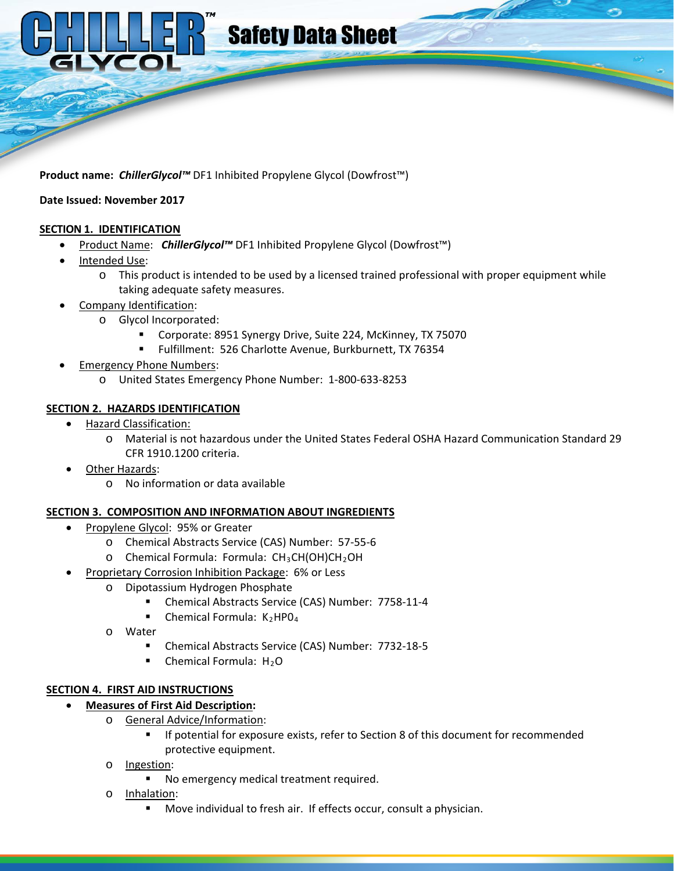

**Product name:** *ChillerGlycol™* DF1 Inhibited Propylene Glycol (Dowfrost™)

#### **Date Issued: November 2017**

#### **SECTION 1. IDENTIFICATION**

- Product Name: *ChillerGlycol™* DF1 Inhibited Propylene Glycol (Dowfrost<sup>™</sup>)
- Intended Use:
	- $\circ$  This product is intended to be used by a licensed trained professional with proper equipment while taking adequate safety measures.
- Company Identification:
	- o Glycol Incorporated:
		- Corporate: 8951 Synergy Drive, Suite 224, McKinney, TX 75070
		- Fulfillment: 526 Charlotte Avenue, Burkburnett, TX 76354
- Emergency Phone Numbers:
	- o United States Emergency Phone Number: 1-800-633-8253

### **SECTION 2. HAZARDS IDENTIFICATION**

- Hazard Classification:
	- o Material is not hazardous under the United States Federal OSHA Hazard Communication Standard 29 CFR 1910.1200 criteria.
- Other Hazards:
	- o No information or data available

#### **SECTION 3. COMPOSITION AND INFORMATION ABOUT INGREDIENTS**

- Propylene Glycol: 95% or Greater
	- o Chemical Abstracts Service (CAS) Number: 57-55-6
	- $O$  Chemical Formula: Formula:  $CH<sub>3</sub>CH(OH)CH<sub>2</sub>OH$
- Proprietary Corrosion Inhibition Package: 6% or Less
	- o Dipotassium Hydrogen Phosphate
		- Chemical Abstracts Service (CAS) Number: 7758-11-4
		- **Chemical Formula:**  $K_2HPO_4$
	- o Water
		- Chemical Abstracts Service (CAS) Number: 7732-18-5
		- $\blacksquare$  Chemical Formula: H<sub>2</sub>O

# **SECTION 4. FIRST AID INSTRUCTIONS**

- **Measures of First Aid Description:** 
	- o General Advice/Information:
		- **If potential for exposure exists, refer to Section 8 of this document for recommended** protective equipment.
	- o Ingestion:
		- No emergency medical treatment required.
	- o Inhalation:
		- Move individual to fresh air. If effects occur, consult a physician.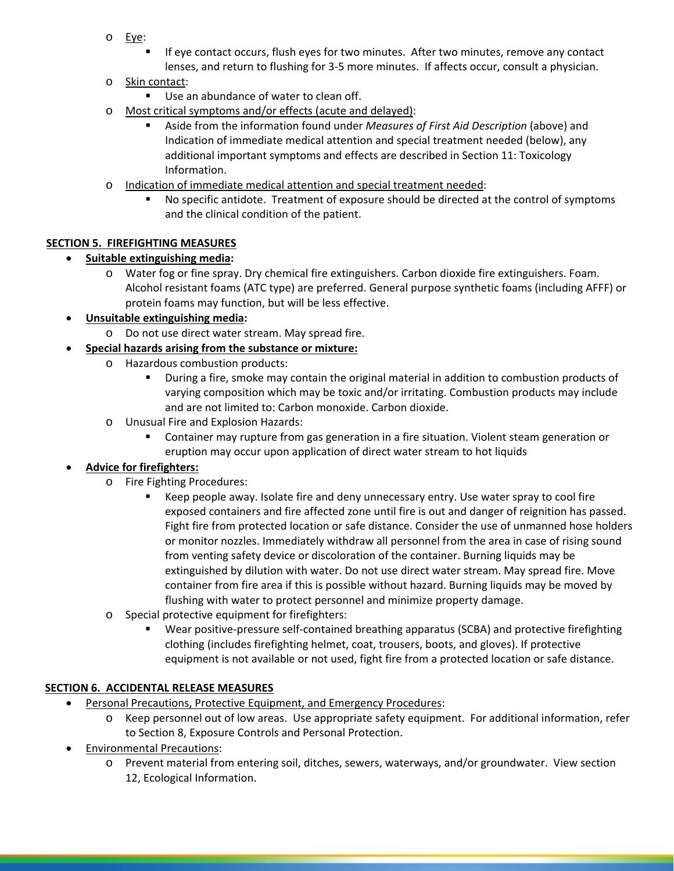- o Eye:
	- If eye contact occurs, flush eyes for two minutes. After two minutes, remove any contact lenses, and return to flushing for 3-5 more minutes. If affects occur, consult a physician.
- o Skin contact:
	- Use an abundance of water to clean off.
- o Most critical symptoms and/or effects (acute and delayed):
	- Aside from the information found under *Measures of First Aid Description* (above) and Indication of immediate medical attention and special treatment needed (below), any additional important symptoms and effects are described in Section 11: Toxicology Information.
- o Indication of immediate medical attention and special treatment needed:
	- **No specific antidote. Treatment of exposure should be directed at the control of symptoms** and the clinical condition of the patient.

#### **SECTION 5. FIREFIGHTING MEASURES**

### • **Suitable extinguishing media:**

o Water fog or fine spray. Dry chemical fire extinguishers. Carbon dioxide fire extinguishers. Foam. Alcohol resistant foams (ATC type) are preferred. General purpose synthetic foams (including AFFF) or protein foams may function, but will be less effective.

### • **Unsuitable extinguishing media:**

- o Do not use direct water stream. May spread fire.
- **Special hazards arising from the substance or mixture:**
	- o Hazardous combustion products:
		- **During a fire, smoke may contain the original material in addition to combustion products of** varying composition which may be toxic and/or irritating. Combustion products may include and are not limited to: Carbon monoxide. Carbon dioxide.
	- o Unusual Fire and Explosion Hazards:
		- Container may rupture from gas generation in a fire situation. Violent steam generation or eruption may occur upon application of direct water stream to hot liquids

#### • **Advice for firefighters:**

- o Fire Fighting Procedures:
	- Keep people away. Isolate fire and deny unnecessary entry. Use water spray to cool fire exposed containers and fire affected zone until fire is out and danger of reignition has passed. Fight fire from protected location or safe distance. Consider the use of unmanned hose holders or monitor nozzles. Immediately withdraw all personnel from the area in case of rising sound from venting safety device or discoloration of the container. Burning liquids may be extinguished by dilution with water. Do not use direct water stream. May spread fire. Move container from fire area if this is possible without hazard. Burning liquids may be moved by flushing with water to protect personnel and minimize property damage.
- o Special protective equipment for firefighters:
	- Wear positive-pressure self-contained breathing apparatus (SCBA) and protective firefighting clothing (includes firefighting helmet, coat, trousers, boots, and gloves). If protective equipment is not available or not used, fight fire from a protected location or safe distance.

#### **SECTION 6. ACCIDENTAL RELEASE MEASURES**

- Personal Precautions, Protective Equipment, and Emergency Procedures:
	- o Keep personnel out of low areas. Use appropriate safety equipment. For additional information, refer to Section 8, Exposure Controls and Personal Protection.
- Environmental Precautions:
	- o Prevent material from entering soil, ditches, sewers, waterways, and/or groundwater. View section 12, Ecological Information.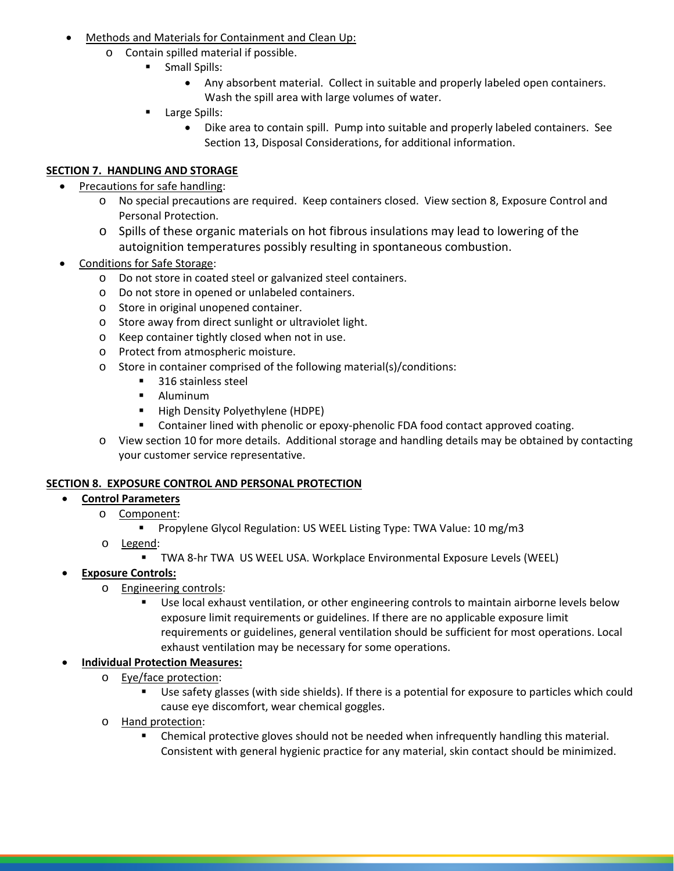- Methods and Materials for Containment and Clean Up:
	- o Contain spilled material if possible.
		- **Small Spills:** 
			- Any absorbent material. Collect in suitable and properly labeled open containers. Wash the spill area with large volumes of water.
			- **Large Spills:** 
				- Dike area to contain spill. Pump into suitable and properly labeled containers. See Section 13, Disposal Considerations, for additional information.

### **SECTION 7. HANDLING AND STORAGE**

- Precautions for safe handling:
	- o No special precautions are required. Keep containers closed. View section 8, Exposure Control and Personal Protection.
	- o Spills of these organic materials on hot fibrous insulations may lead to lowering of the autoignition temperatures possibly resulting in spontaneous combustion.
- Conditions for Safe Storage:
	- o Do not store in coated steel or galvanized steel containers.
	- o Do not store in opened or unlabeled containers.
	- o Store in original unopened container.
	- o Store away from direct sunlight or ultraviolet light.
	- o Keep container tightly closed when not in use.
	- o Protect from atmospheric moisture.
	- o Store in container comprised of the following material(s)/conditions:
		- 316 stainless steel
		- Aluminum
		- **High Density Polyethylene (HDPE)**
		- Container lined with phenolic or epoxy-phenolic FDA food contact approved coating.
	- o View section 10 for more details. Additional storage and handling details may be obtained by contacting your customer service representative.

# **SECTION 8. EXPOSURE CONTROL AND PERSONAL PROTECTION**

- **Control Parameters**
	- o Component:
		- **Propylene Glycol Regulation: US WEEL Listing Type: TWA Value: 10 mg/m3**
	- o Legend:
		- TWA 8-hr TWA US WEEL USA. Workplace Environmental Exposure Levels (WEEL)
- **Exposure Controls:**
	- o Engineering controls:
		- Use local exhaust ventilation, or other engineering controls to maintain airborne levels below exposure limit requirements or guidelines. If there are no applicable exposure limit requirements or guidelines, general ventilation should be sufficient for most operations. Local exhaust ventilation may be necessary for some operations.

#### • **Individual Protection Measures:**

- o Eye/face protection:
	- Use safety glasses (with side shields). If there is a potential for exposure to particles which could cause eye discomfort, wear chemical goggles.
- o Hand protection:
	- Chemical protective gloves should not be needed when infrequently handling this material. Consistent with general hygienic practice for any material, skin contact should be minimized.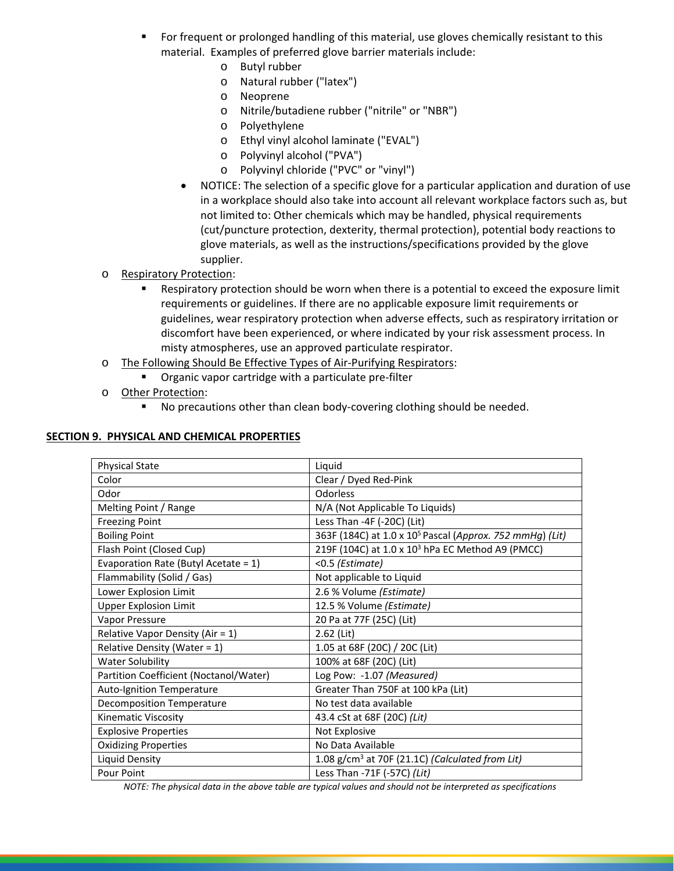- For frequent or prolonged handling of this material, use gloves chemically resistant to this material. Examples of preferred glove barrier materials include:
	- o Butyl rubber
	- o Natural rubber ("latex")
	- o Neoprene
	- o Nitrile/butadiene rubber ("nitrile" or "NBR")
	- o Polyethylene
	- o Ethyl vinyl alcohol laminate ("EVAL")
	- o Polyvinyl alcohol ("PVA")
	- o Polyvinyl chloride ("PVC" or "vinyl")
	- NOTICE: The selection of a specific glove for a particular application and duration of use in a workplace should also take into account all relevant workplace factors such as, but not limited to: Other chemicals which may be handled, physical requirements (cut/puncture protection, dexterity, thermal protection), potential body reactions to glove materials, as well as the instructions/specifications provided by the glove supplier.
- o Respiratory Protection:
	- Respiratory protection should be worn when there is a potential to exceed the exposure limit requirements or guidelines. If there are no applicable exposure limit requirements or guidelines, wear respiratory protection when adverse effects, such as respiratory irritation or discomfort have been experienced, or where indicated by your risk assessment process. In misty atmospheres, use an approved particulate respirator.
- o The Following Should Be Effective Types of Air-Purifying Respirators:
	- **•** Organic vapor cartridge with a particulate pre-filter
- o Other Protection:
	- **No precautions other than clean body-covering clothing should be needed.**

#### **SECTION 9. PHYSICAL AND CHEMICAL PROPERTIES**

| <b>Physical State</b>                  | Liquid                                                               |
|----------------------------------------|----------------------------------------------------------------------|
| Color                                  | Clear / Dyed Red-Pink                                                |
| Odor                                   | <b>Odorless</b>                                                      |
| Melting Point / Range                  | N/A (Not Applicable To Liquids)                                      |
| <b>Freezing Point</b>                  | Less Than -4F (-20C) (Lit)                                           |
| <b>Boiling Point</b>                   | 363F (184C) at 1.0 x 10 <sup>5</sup> Pascal (Approx. 752 mmHg) (Lit) |
| Flash Point (Closed Cup)               | 219F (104C) at 1.0 x 10 <sup>3</sup> hPa EC Method A9 (PMCC)         |
| Evaporation Rate (Butyl Acetate = 1)   | <0.5 (Estimate)                                                      |
| Flammability (Solid / Gas)             | Not applicable to Liquid                                             |
| Lower Explosion Limit                  | 2.6 % Volume (Estimate)                                              |
| <b>Upper Explosion Limit</b>           | 12.5 % Volume (Estimate)                                             |
| Vapor Pressure                         | 20 Pa at 77F (25C) (Lit)                                             |
| Relative Vapor Density (Air = 1)       | 2.62 (Lit)                                                           |
| Relative Density (Water = 1)           | 1.05 at 68F (20C) / 20C (Lit)                                        |
| <b>Water Solubility</b>                | 100% at 68F (20C) (Lit)                                              |
| Partition Coefficient (Noctanol/Water) | Log Pow: -1.07 (Measured)                                            |
| Auto-Ignition Temperature              | Greater Than 750F at 100 kPa (Lit)                                   |
| <b>Decomposition Temperature</b>       | No test data available                                               |
| Kinematic Viscosity                    | 43.4 cSt at 68F (20C) (Lit)                                          |
| <b>Explosive Properties</b>            | Not Explosive                                                        |
| <b>Oxidizing Properties</b>            | No Data Available                                                    |
| <b>Liquid Density</b>                  | 1.08 g/cm <sup>3</sup> at 70F (21.1C) (Calculated from Lit)          |
| Pour Point                             | Less Than -71F (-57C) (Lit)                                          |
|                                        |                                                                      |

*NOTE: The physical data in the above table are typical values and should not be interpreted as specifications*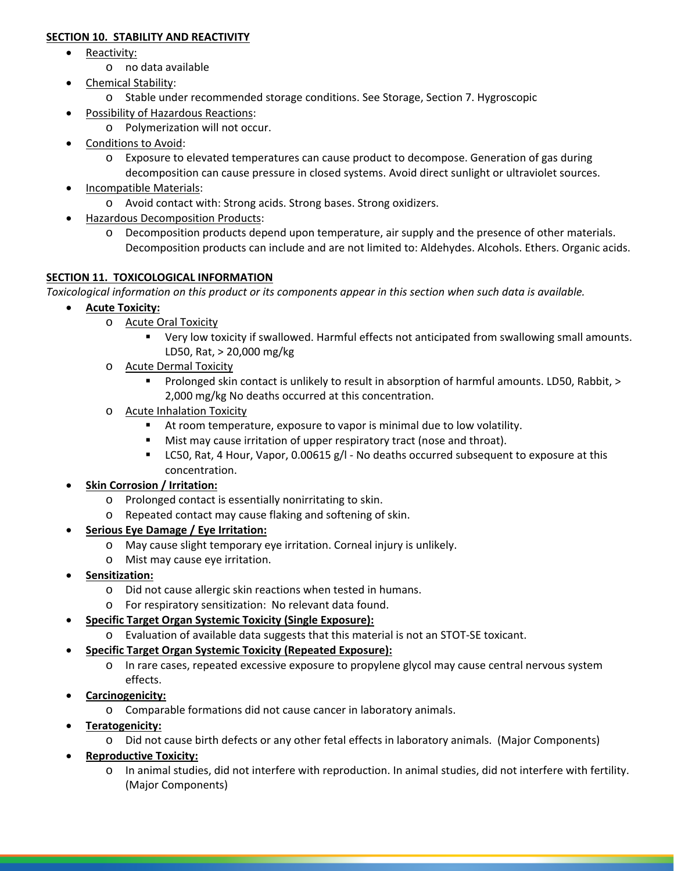#### **SECTION 10. STABILITY AND REACTIVITY**

- Reactivity:
	- o no data available
- Chemical Stability:
	- o Stable under recommended storage conditions. See Storage, Section 7. Hygroscopic
- Possibility of Hazardous Reactions:
	- o Polymerization will not occur.
- Conditions to Avoid:
	- o Exposure to elevated temperatures can cause product to decompose. Generation of gas during decomposition can cause pressure in closed systems. Avoid direct sunlight or ultraviolet sources.
- Incompatible Materials:
	- o Avoid contact with: Strong acids. Strong bases. Strong oxidizers.
- Hazardous Decomposition Products:
	- o Decomposition products depend upon temperature, air supply and the presence of other materials. Decomposition products can include and are not limited to: Aldehydes. Alcohols. Ethers. Organic acids.

#### **SECTION 11. TOXICOLOGICAL INFORMATION**

*Toxicological information on this product or its components appear in this section when such data is available.*

- **Acute Toxicity:**
	- o Acute Oral Toxicity
		- Very low toxicity if swallowed. Harmful effects not anticipated from swallowing small amounts. LD50, Rat, > 20,000 mg/kg
	- o Acute Dermal Toxicity
		- Prolonged skin contact is unlikely to result in absorption of harmful amounts. LD50, Rabbit, > 2,000 mg/kg No deaths occurred at this concentration.
	- o Acute Inhalation Toxicity
		- At room temperature, exposure to vapor is minimal due to low volatility.
		- **Mist may cause irritation of upper respiratory tract (nose and throat).**
		- **LC50, Rat, 4 Hour, Vapor, 0.00615 g/l No deaths occurred subsequent to exposure at this** concentration.

#### • **Skin Corrosion / Irritation:**

- o Prolonged contact is essentially nonirritating to skin.
- o Repeated contact may cause flaking and softening of skin.

#### • **Serious Eye Damage / Eye Irritation:**

- o May cause slight temporary eye irritation. Corneal injury is unlikely.
- o Mist may cause eye irritation.
- **Sensitization:**
	- o Did not cause allergic skin reactions when tested in humans.
	- o For respiratory sensitization: No relevant data found.
- **Specific Target Organ Systemic Toxicity (Single Exposure):**
	- o Evaluation of available data suggests that this material is not an STOT-SE toxicant.
- **Specific Target Organ Systemic Toxicity (Repeated Exposure):**
	- o In rare cases, repeated excessive exposure to propylene glycol may cause central nervous system effects.
- **Carcinogenicity:**
	- o Comparable formations did not cause cancer in laboratory animals.
- **Teratogenicity:**
	- o Did not cause birth defects or any other fetal effects in laboratory animals. (Major Components)
- **Reproductive Toxicity:**
	- o In animal studies, did not interfere with reproduction. In animal studies, did not interfere with fertility. (Major Components)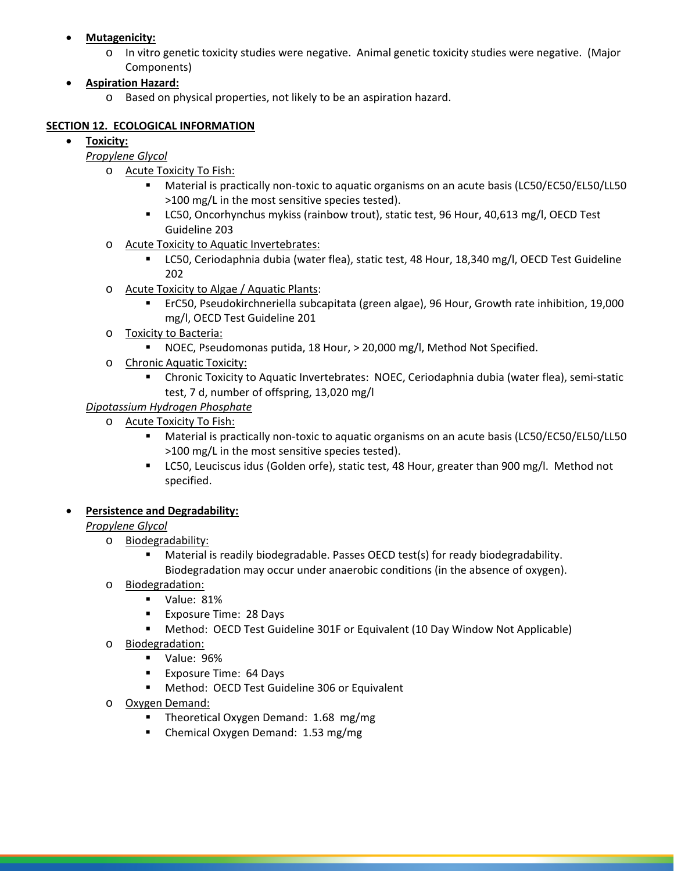- **Mutagenicity:**
	- o In vitro genetic toxicity studies were negative. Animal genetic toxicity studies were negative. (Major Components)
- **Aspiration Hazard:**
	- o Based on physical properties, not likely to be an aspiration hazard.

#### **SECTION 12. ECOLOGICAL INFORMATION**

### • **Toxicity:**

### *Propylene Glycol*

- o Acute Toxicity To Fish:
	- Material is practically non-toxic to aquatic organisms on an acute basis (LC50/EC50/EL50/LL50 >100 mg/L in the most sensitive species tested).
	- **LC50, Oncorhynchus mykiss (rainbow trout), static test, 96 Hour, 40,613 mg/l, OECD Test** Guideline 203
- o Acute Toxicity to Aquatic Invertebrates:
	- LC50, Ceriodaphnia dubia (water flea), static test, 48 Hour, 18,340 mg/l, OECD Test Guideline 202
- o Acute Toxicity to Algae / Aquatic Plants:
	- ErC50, Pseudokirchneriella subcapitata (green algae), 96 Hour, Growth rate inhibition, 19,000 mg/l, OECD Test Guideline 201
- o Toxicity to Bacteria:
	- NOEC, Pseudomonas putida, 18 Hour, > 20,000 mg/l, Method Not Specified.
- o Chronic Aquatic Toxicity:
	- Chronic Toxicity to Aquatic Invertebrates: NOEC, Ceriodaphnia dubia (water flea), semi-static test, 7 d, number of offspring, 13,020 mg/l

### *Dipotassium Hydrogen Phosphate*

- o Acute Toxicity To Fish:
	- Material is practically non-toxic to aquatic organisms on an acute basis (LC50/EC50/EL50/LL50 >100 mg/L in the most sensitive species tested).
	- **LC50, Leuciscus idus (Golden orfe), static test, 48 Hour, greater than 900 mg/l. Method not** specified.

# • **Persistence and Degradability:**

#### *Propylene Glycol*

- o Biodegradability:
	- Material is readily biodegradable. Passes OECD test(s) for ready biodegradability. Biodegradation may occur under anaerobic conditions (in the absence of oxygen).
- o Biodegradation:
	- Value: 81%
	- **Exposure Time: 28 Days**
	- Method: OECD Test Guideline 301F or Equivalent (10 Day Window Not Applicable)
- o Biodegradation:
	- Value: 96%
	- **Exposure Time: 64 Days**
	- **Method: OECD Test Guideline 306 or Equivalent**
- o Oxygen Demand:
	- **Theoretical Oxygen Demand: 1.68 mg/mg**
	- Chemical Oxygen Demand: 1.53 mg/mg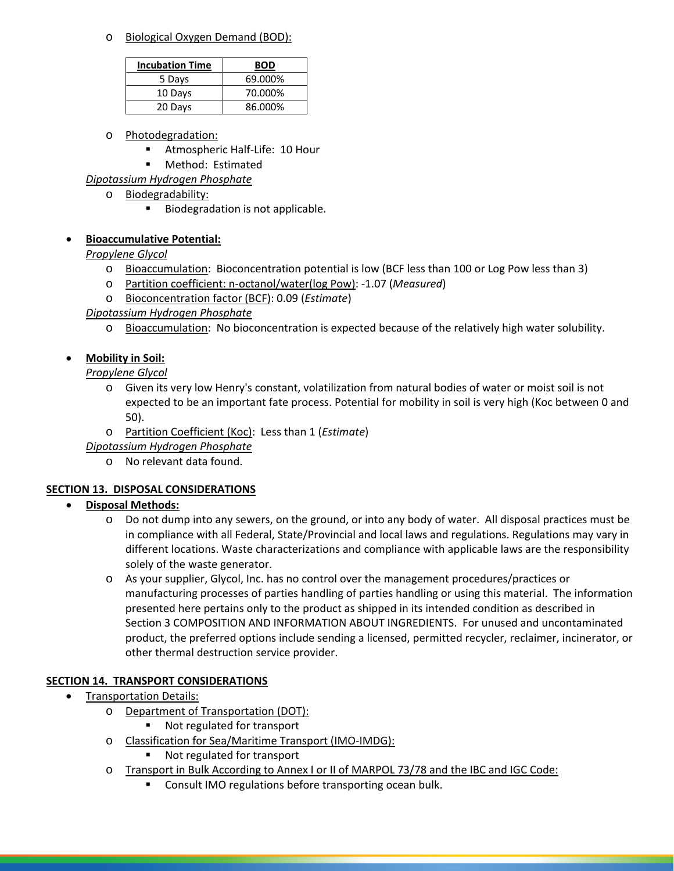o Biological Oxygen Demand (BOD):

| <b>Incubation Time</b> | BOD     |
|------------------------|---------|
| 5 Days                 | 69.000% |
| 10 Days                | 70.000% |
| 20 Days                | 86.000% |

- o Photodegradation:
	- **Atmospheric Half-Life: 10 Hour**
	- **Method: Estimated**
- *Dipotassium Hydrogen Phosphate*
	- o Biodegradability:
		- Biodegradation is not applicable.

# • **Bioaccumulative Potential:**

# *Propylene Glycol*

- o Bioaccumulation: Bioconcentration potential is low (BCF less than 100 or Log Pow less than 3)
- o Partition coefficient: n-octanol/water(log Pow): -1.07 (*Measured*)
- o Bioconcentration factor (BCF): 0.09 (*Estimate*)

# *Dipotassium Hydrogen Phosphate*

o Bioaccumulation: No bioconcentration is expected because of the relatively high water solubility.

# • **Mobility in Soil:**

*Propylene Glycol*

- o Given its very low Henry's constant, volatilization from natural bodies of water or moist soil is not expected to be an important fate process. Potential for mobility in soil is very high (Koc between 0 and 50).
- o Partition Coefficient (Koc): Less than 1 (*Estimate*)
- *Dipotassium Hydrogen Phosphate*
	- o No relevant data found.

# **SECTION 13. DISPOSAL CONSIDERATIONS**

# • **Disposal Methods:**

- o Do not dump into any sewers, on the ground, or into any body of water. All disposal practices must be in compliance with all Federal, State/Provincial and local laws and regulations. Regulations may vary in different locations. Waste characterizations and compliance with applicable laws are the responsibility solely of the waste generator.
- o As your supplier, Glycol, Inc. has no control over the management procedures/practices or manufacturing processes of parties handling of parties handling or using this material. The information presented here pertains only to the product as shipped in its intended condition as described in Section 3 COMPOSITION AND INFORMATION ABOUT INGREDIENTS. For unused and uncontaminated product, the preferred options include sending a licensed, permitted recycler, reclaimer, incinerator, or other thermal destruction service provider.

# **SECTION 14. TRANSPORT CONSIDERATIONS**

- Transportation Details:
	- o Department of Transportation (DOT):
		- Not regulated for transport
	- o Classification for Sea/Maritime Transport (IMO-IMDG):
		- **Not regulated for transport**
	- o Transport in Bulk According to Annex I or II of MARPOL 73/78 and the IBC and IGC Code:
		- **Consult IMO regulations before transporting ocean bulk.**